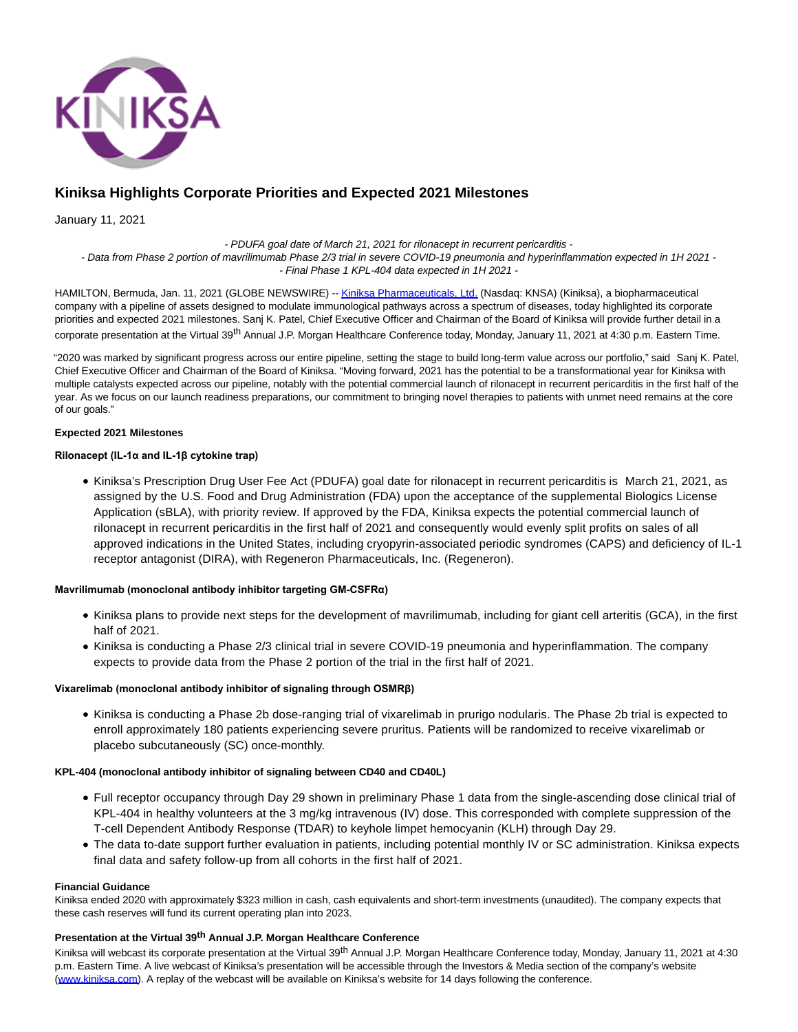

# **Kiniksa Highlights Corporate Priorities and Expected 2021 Milestones**

January 11, 2021

- PDUFA goal date of March 21, 2021 for rilonacept in recurrent pericarditis - - Data from Phase 2 portion of mavrilimumab Phase 2/3 trial in severe COVID-19 pneumonia and hyperinflammation expected in 1H 2021 - - Final Phase 1 KPL-404 data expected in 1H 2021 -

HAMILTON, Bermuda, Jan. 11, 2021 (GLOBE NEWSWIRE) -[- Kiniksa Pharmaceuticals, Ltd. \(](https://www.globenewswire.com/Tracker?data=9TqSSMmkYTBMj9pfXFUIYGQ-pzx-kcE-Dt2cbtG665e3O2YvrYdBKEDKBvI6tg-4-wr7UhdJ-HJSdx_wU-IYADH8Z5vJlMs6GbnszcHV8pY=)Nasdaq: KNSA) (Kiniksa), a biopharmaceutical company with a pipeline of assets designed to modulate immunological pathways across a spectrum of diseases, today highlighted its corporate priorities and expected 2021 milestones. Sanj K. Patel, Chief Executive Officer and Chairman of the Board of Kiniksa will provide further detail in a corporate presentation at the Virtual 39<sup>th</sup> Annual J.P. Morgan Healthcare Conference today, Monday, January 11, 2021 at 4:30 p.m. Eastern Time.

"2020 was marked by significant progress across our entire pipeline, setting the stage to build long-term value across our portfolio," said Sanj K. Patel, Chief Executive Officer and Chairman of the Board of Kiniksa. "Moving forward, 2021 has the potential to be a transformational year for Kiniksa with multiple catalysts expected across our pipeline, notably with the potential commercial launch of rilonacept in recurrent pericarditis in the first half of the year. As we focus on our launch readiness preparations, our commitment to bringing novel therapies to patients with unmet need remains at the core of our goals."

# **Expected 2021 Milestones**

# **Rilonacept (IL-1α and IL-1β cytokine trap)**

Kiniksa's Prescription Drug User Fee Act (PDUFA) goal date for rilonacept in recurrent pericarditis is March 21, 2021, as assigned by the U.S. Food and Drug Administration (FDA) upon the acceptance of the supplemental Biologics License Application (sBLA), with priority review. If approved by the FDA, Kiniksa expects the potential commercial launch of rilonacept in recurrent pericarditis in the first half of 2021 and consequently would evenly split profits on sales of all approved indications in the United States, including cryopyrin-associated periodic syndromes (CAPS) and deficiency of IL-1 receptor antagonist (DIRA), with Regeneron Pharmaceuticals, Inc. (Regeneron).

# **Mavrilimumab (monoclonal antibody inhibitor targeting GM-CSFRα)**

- Kiniksa plans to provide next steps for the development of mavrilimumab, including for giant cell arteritis (GCA), in the first half of 2021.
- Kiniksa is conducting a Phase 2/3 clinical trial in severe COVID-19 pneumonia and hyperinflammation. The company expects to provide data from the Phase 2 portion of the trial in the first half of 2021.

## **Vixarelimab (monoclonal antibody inhibitor of signaling through OSMRβ)**

Kiniksa is conducting a Phase 2b dose-ranging trial of vixarelimab in prurigo nodularis. The Phase 2b trial is expected to enroll approximately 180 patients experiencing severe pruritus. Patients will be randomized to receive vixarelimab or placebo subcutaneously (SC) once-monthly.

## **KPL-404 (monoclonal antibody inhibitor of signaling between CD40 and CD40L)**

- Full receptor occupancy through Day 29 shown in preliminary Phase 1 data from the single-ascending dose clinical trial of KPL-404 in healthy volunteers at the 3 mg/kg intravenous (IV) dose. This corresponded with complete suppression of the T-cell Dependent Antibody Response (TDAR) to keyhole limpet hemocyanin (KLH) through Day 29.
- The data to-date support further evaluation in patients, including potential monthly IV or SC administration. Kiniksa expects final data and safety follow-up from all cohorts in the first half of 2021.

#### **Financial Guidance**

Kiniksa ended 2020 with approximately \$323 million in cash, cash equivalents and short-term investments (unaudited). The company expects that these cash reserves will fund its current operating plan into 2023.

# **Presentation at the Virtual 39th Annual J.P. Morgan Healthcare Conference**

Kiniksa will webcast its corporate presentation at the Virtual 39<sup>th</sup> Annual J.P. Morgan Healthcare Conference today, Monday, January 11, 2021 at 4:30 p.m. Eastern Time. A live webcast of Kiniksa's presentation will be accessible through the Investors & Media section of the company's website [\(www.kiniksa.com\).](https://www.globenewswire.com/Tracker?data=Y_3UdPFmYLhkv-qXo-Q1Ou4JbezDs-UhDugoKuTdpvbTlljxImQki-xVmLaxn_TJyPBPawT4klqmqnWR4IIEIg==) A replay of the webcast will be available on Kiniksa's website for 14 days following the conference.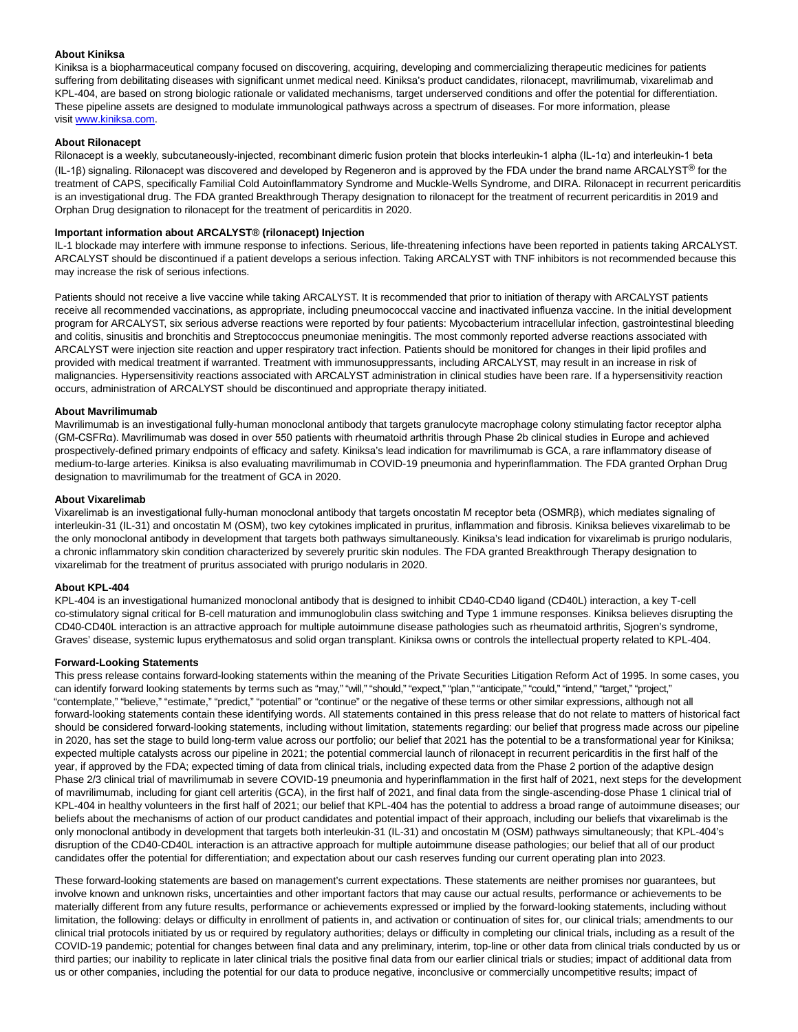## **About Kiniksa**

Kiniksa is a biopharmaceutical company focused on discovering, acquiring, developing and commercializing therapeutic medicines for patients suffering from debilitating diseases with significant unmet medical need. Kiniksa's product candidates, rilonacept, mavrilimumab, vixarelimab and KPL-404, are based on strong biologic rationale or validated mechanisms, target underserved conditions and offer the potential for differentiation. These pipeline assets are designed to modulate immunological pathways across a spectrum of diseases. For more information, please visit [www.kiniksa.com.](https://www.globenewswire.com/Tracker?data=Y_3UdPFmYLhkv-qXo-Q1OuqPLuTG_6WUsbJy8b1QA-LbKqhsQBSBbZdter6P_Xo57ogackhX9tEgWugI0INFdIQGZXNo2mtwZeYwccP9MO3Yzt4FY_wNoQznIF5pyrghIURqiaKdOKpLiPLsd5bE7LIPIcNbnHQwqs5WZ5TePEaVt8FS2FtMCZ8MV4Ph1ljcEfr7feSmDbzBp3yHasGNnk4aBC-79dAxc251dgw-Vmsr3BtTrm4MyKtHR52uAeVD00GLkimU4q3yT6tzH5YQ-MrLnLtQsGJjAjtjlsFDFHFt1PL8ievzABuHK3j1qx5CsVj894EH1W9n2nP1Yr6awUppAZAhmff-X0nFFW7J1qzCo63S1eNIhWLyVLkPfsqEQGsMHV-FbjsWznsKYHIMWc6auad_uMd4UBkQPeDukWeak7C8MaA3R5EZV6uqtJ3dncNu3wZa8Y8JiGvmfPMNQ9Cdg1XsGQh9SKOUgFB1IQudP_HwGEGSm4E2riD1w-FIDJZZ1ma1lj7G_67bXJ93I4KfwkEU7IE78DBaClAgWDoDELT1_HIRU_4EsdhKtVeO6IDTP7v3j0uHZbJLnlRG9lelwsZzH7b5s9Y96-tUZH-DXwuU2wFOmkC8ErWasSgFVqW-lNEmJ4k1lHw6U0iARfEppKEzSdxJb6shQv3g7c4=)

# **About Rilonacept**

Rilonacept is a weekly, subcutaneously-injected, recombinant dimeric fusion protein that blocks interleukin-1 alpha (IL-1α) and interleukin-1 beta (IL-1β) signaling. Rilonacept was discovered and developed by Regeneron and is approved by the FDA under the brand name ARCALYST® for the treatment of CAPS, specifically Familial Cold Autoinflammatory Syndrome and Muckle-Wells Syndrome, and DIRA. Rilonacept in recurrent pericarditis is an investigational drug. The FDA granted Breakthrough Therapy designation to rilonacept for the treatment of recurrent pericarditis in 2019 and Orphan Drug designation to rilonacept for the treatment of pericarditis in 2020.

## **Important information about ARCALYST® (rilonacept) Injection**

IL-1 blockade may interfere with immune response to infections. Serious, life-threatening infections have been reported in patients taking ARCALYST. ARCALYST should be discontinued if a patient develops a serious infection. Taking ARCALYST with TNF inhibitors is not recommended because this may increase the risk of serious infections.

Patients should not receive a live vaccine while taking ARCALYST. It is recommended that prior to initiation of therapy with ARCALYST patients receive all recommended vaccinations, as appropriate, including pneumococcal vaccine and inactivated influenza vaccine. In the initial development program for ARCALYST, six serious adverse reactions were reported by four patients: Mycobacterium intracellular infection, gastrointestinal bleeding and colitis, sinusitis and bronchitis and Streptococcus pneumoniae meningitis. The most commonly reported adverse reactions associated with ARCALYST were injection site reaction and upper respiratory tract infection. Patients should be monitored for changes in their lipid profiles and provided with medical treatment if warranted. Treatment with immunosuppressants, including ARCALYST, may result in an increase in risk of malignancies. Hypersensitivity reactions associated with ARCALYST administration in clinical studies have been rare. If a hypersensitivity reaction occurs, administration of ARCALYST should be discontinued and appropriate therapy initiated.

#### **About Mavrilimumab**

Mavrilimumab is an investigational fully-human monoclonal antibody that targets granulocyte macrophage colony stimulating factor receptor alpha (GM-CSFRα). Mavrilimumab was dosed in over 550 patients with rheumatoid arthritis through Phase 2b clinical studies in Europe and achieved prospectively-defined primary endpoints of efficacy and safety. Kiniksa's lead indication for mavrilimumab is GCA, a rare inflammatory disease of medium-to-large arteries. Kiniksa is also evaluating mavrilimumab in COVID-19 pneumonia and hyperinflammation. The FDA granted Orphan Drug designation to mavrilimumab for the treatment of GCA in 2020.

#### **About Vixarelimab**

Vixarelimab is an investigational fully-human monoclonal antibody that targets oncostatin M receptor beta (OSMRβ), which mediates signaling of interleukin-31 (IL-31) and oncostatin M (OSM), two key cytokines implicated in pruritus, inflammation and fibrosis. Kiniksa believes vixarelimab to be the only monoclonal antibody in development that targets both pathways simultaneously. Kiniksa's lead indication for vixarelimab is prurigo nodularis, a chronic inflammatory skin condition characterized by severely pruritic skin nodules. The FDA granted Breakthrough Therapy designation to vixarelimab for the treatment of pruritus associated with prurigo nodularis in 2020.

#### **About KPL-404**

KPL-404 is an investigational humanized monoclonal antibody that is designed to inhibit CD40-CD40 ligand (CD40L) interaction, a key T-cell co-stimulatory signal critical for B-cell maturation and immunoglobulin class switching and Type 1 immune responses. Kiniksa believes disrupting the CD40-CD40L interaction is an attractive approach for multiple autoimmune disease pathologies such as rheumatoid arthritis, Sjogren's syndrome, Graves' disease, systemic lupus erythematosus and solid organ transplant. Kiniksa owns or controls the intellectual property related to KPL-404.

#### **Forward-Looking Statements**

This press release contains forward-looking statements within the meaning of the Private Securities Litigation Reform Act of 1995. In some cases, you can identify forward looking statements by terms such as "may," "will," "should," "expect," "plan," "anticipate," "could," "intend," "target," "project," "contemplate," "believe," "estimate," "predict," "potential" or "continue" or the negative of these terms or other similar expressions, although not all forward-looking statements contain these identifying words. All statements contained in this press release that do not relate to matters of historical fact should be considered forward-looking statements, including without limitation, statements regarding: our belief that progress made across our pipeline in 2020, has set the stage to build long-term value across our portfolio; our belief that 2021 has the potential to be a transformational year for Kiniksa; expected multiple catalysts across our pipeline in 2021; the potential commercial launch of rilonacept in recurrent pericarditis in the first half of the year, if approved by the FDA; expected timing of data from clinical trials, including expected data from the Phase 2 portion of the adaptive design Phase 2/3 clinical trial of mavrilimumab in severe COVID-19 pneumonia and hyperinflammation in the first half of 2021, next steps for the development of mavrilimumab, including for giant cell arteritis (GCA), in the first half of 2021, and final data from the single-ascending-dose Phase 1 clinical trial of KPL-404 in healthy volunteers in the first half of 2021; our belief that KPL-404 has the potential to address a broad range of autoimmune diseases; our beliefs about the mechanisms of action of our product candidates and potential impact of their approach, including our beliefs that vixarelimab is the only monoclonal antibody in development that targets both interleukin-31 (IL-31) and oncostatin M (OSM) pathways simultaneously; that KPL-404's disruption of the CD40-CD40L interaction is an attractive approach for multiple autoimmune disease pathologies; our belief that all of our product candidates offer the potential for differentiation; and expectation about our cash reserves funding our current operating plan into 2023.

These forward-looking statements are based on management's current expectations. These statements are neither promises nor guarantees, but involve known and unknown risks, uncertainties and other important factors that may cause our actual results, performance or achievements to be materially different from any future results, performance or achievements expressed or implied by the forward-looking statements, including without limitation, the following: delays or difficulty in enrollment of patients in, and activation or continuation of sites for, our clinical trials; amendments to our clinical trial protocols initiated by us or required by regulatory authorities; delays or difficulty in completing our clinical trials, including as a result of the COVID-19 pandemic; potential for changes between final data and any preliminary, interim, top-line or other data from clinical trials conducted by us or third parties; our inability to replicate in later clinical trials the positive final data from our earlier clinical trials or studies; impact of additional data from us or other companies, including the potential for our data to produce negative, inconclusive or commercially uncompetitive results; impact of